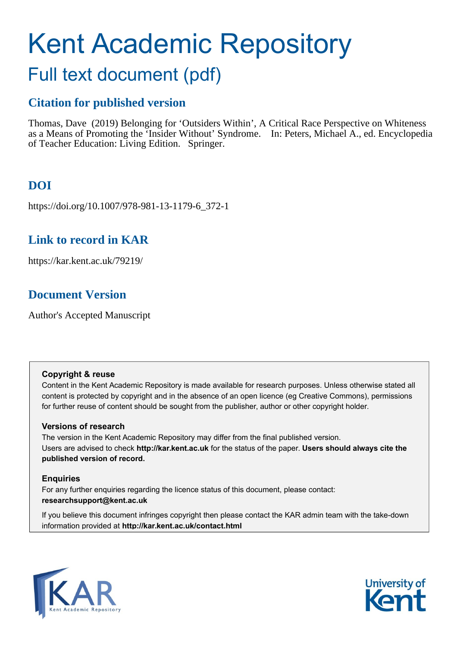# Kent Academic Repository

# Full text document (pdf)

# **Citation for published version**

Thomas, Dave (2019) Belonging for 'Outsiders Within', A Critical Race Perspective on Whiteness as a Means of Promoting the 'Insider Without' Syndrome. In: Peters, Michael A., ed. Encyclopedia of Teacher Education: Living Edition. Springer.

# **DOI**

https://doi.org/10.1007/978-981-13-1179-6\_372-1

# **Link to record in KAR**

https://kar.kent.ac.uk/79219/

# **Document Version**

Author's Accepted Manuscript

# **Copyright & reuse**

Content in the Kent Academic Repository is made available for research purposes. Unless otherwise stated all content is protected by copyright and in the absence of an open licence (eg Creative Commons), permissions for further reuse of content should be sought from the publisher, author or other copyright holder.

# **Versions of research**

The version in the Kent Academic Repository may differ from the final published version. Users are advised to check **http://kar.kent.ac.uk** for the status of the paper. **Users should always cite the published version of record.**

# **Enquiries**

For any further enquiries regarding the licence status of this document, please contact: **researchsupport@kent.ac.uk**

If you believe this document infringes copyright then please contact the KAR admin team with the take-down information provided at **http://kar.kent.ac.uk/contact.html**



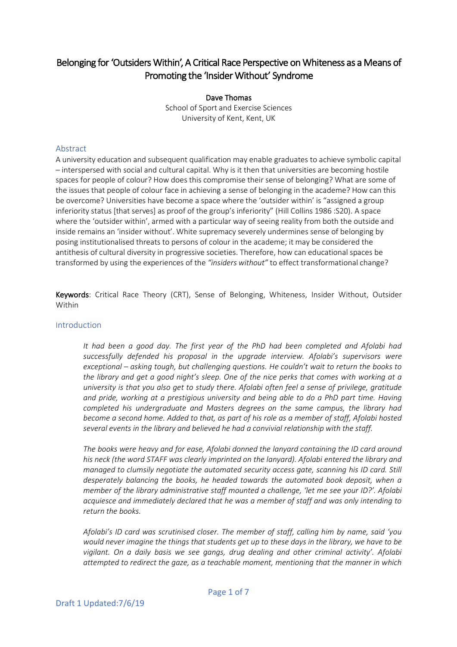# Belonging for 'Outsiders Within', A Critical Race Perspective on Whiteness as a Means of Promoting the 'Insider Without' Syndrome

Dave Thomas School of Sport and Exercise Sciences University of Kent, Kent, UK

## Abstract

A university education and subsequent qualification may enable graduates to achieve symbolic capital – interspersed with social and cultural capital. Why is it then that universities are becoming hostile spaces for people of colour? How does this compromise their sense of belonging? What are some of the issues that people of colour face in achieving a sense of belonging in the academe? How can this be overcome? Universities have become a space where the 'outsider within' is "assigned a group inferiority status [that serves] as proof of the group's inferiority" (Hill Collins 1986 :S20). A space where the 'outsider within', armed with a particular way of seeing reality from both the outside and inside remains an 'insider without'. White supremacy severely undermines sense of belonging by posing institutionalised threats to persons of colour in the academe; it may be considered the antithesis of cultural diversity in progressive societies. Therefore, how can educational spaces be transformed by using the experiences of the *"insiders without"* to effect transformational change?

Keywords: Critical Race Theory (CRT), Sense of Belonging, Whiteness, Insider Without, Outsider Within

#### Introduction

*It had been a good day. The first year of the PhD had been completed and Afolabi had successfully defended his proposal in the upgrade interview. Afolabi's supervisors were exceptional – asking tough, but challenging questions. He couldn't wait to return the books to the library and get a good night's sleep. One of the nice perks that comes with working at a university is that you also get to study there. Afolabi often feel a sense of privilege, gratitude and pride, working at a prestigious university and being able to do a PhD part time. Having completed his undergraduate and Masters degrees on the same campus, the library had become a second home. Added to that, as part of his role as a member of staff, Afolabi hosted several events in the library and believed he had a convivial relationship with the staff.* 

*The books were heavy and for ease, Afolabi donned the lanyard containing the ID card around his neck (the word STAFF was clearly imprinted on the lanyard). Afolabi entered the library and managed to clumsily negotiate the automated security access gate, scanning his ID card. Still desperately balancing the books, he headed towards the automated book deposit, when a member of the library administrative staff mounted a challenge, 'let me see your ID?'. Afolabi acquiesce and immediately declared that he was a member of staff and was only intending to return the books.* 

*Afolabi's ID card was scrutinised closer. The member of staff, calling him by name, said 'you would never imagine the things that students get up to these days in the library, we have to be vigilant. On a daily basis we see gangs, drug dealing and other criminal activity'. Afolabi attempted to redirect the gaze, as a teachable moment, mentioning that the manner in which*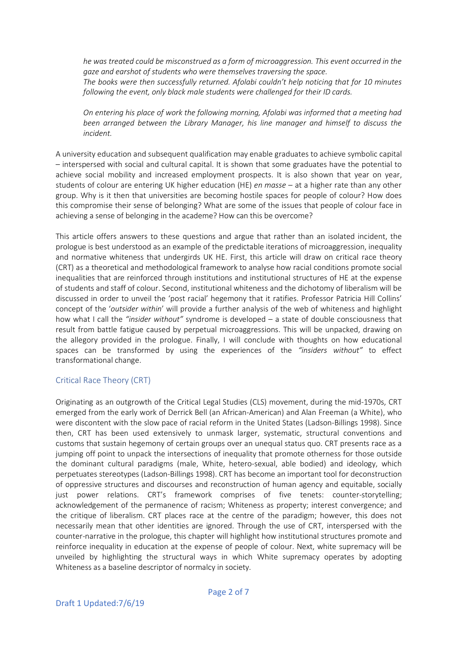*he was treated could be misconstrued as a form of microaggression. This event occurred in the gaze and earshot of students who were themselves traversing the space. The books were then successfully returned. Afolabi couldn't help noticing that for 10 minutes following the event, only black male students were challenged for their ID cards.* 

*On entering his place of work the following morning, Afolabi was informed that a meeting had been arranged between the Library Manager, his line manager and himself to discuss the incident.*

A university education and subsequent qualification may enable graduates to achieve symbolic capital – interspersed with social and cultural capital. It is shown that some graduates have the potential to achieve social mobility and increased employment prospects. It is also shown that year on year, students of colour are entering UK higher education (HE) *en masse* – at a higher rate than any other group. Why is it then that universities are becoming hostile spaces for people of colour? How does this compromise their sense of belonging? What are some of the issues that people of colour face in achieving a sense of belonging in the academe? How can this be overcome?

This article offers answers to these questions and argue that rather than an isolated incident, the prologue is best understood as an example of the predictable iterations of microaggression, inequality and normative whiteness that undergirds UK HE. First, this article will draw on critical race theory (CRT) as a theoretical and methodological framework to analyse how racial conditions promote social inequalities that are reinforced through institutions and institutional structures of HE at the expense of students and staff of colour. Second, institutional whiteness and the dichotomy of liberalism will be discussed in order to unveil the 'post racial' hegemony that it ratifies. Professor Patricia Hill Collins' concept of the '*outsider within*' will provide a further analysis of the web of whiteness and highlight how what I call the *"insider without"* syndrome is developed – a state of double consciousness that result from battle fatigue caused by perpetual microaggressions. This will be unpacked, drawing on the allegory provided in the prologue. Finally, I will conclude with thoughts on how educational spaces can be transformed by using the experiences of the *"insiders without"* to effect transformational change.

### Critical Race Theory (CRT)

Originating as an outgrowth of the Critical Legal Studies (CLS) movement, during the mid-1970s, CRT emerged from the early work of Derrick Bell (an African-American) and Alan Freeman (a White), who were discontent with the slow pace of racial reform in the United States (Ladson-Billings 1998). Since then, CRT has been used extensively to unmask larger, systematic, structural conventions and customs that sustain hegemony of certain groups over an unequal status quo. CRT presents race as a jumping off point to unpack the intersections of inequality that promote otherness for those outside the dominant cultural paradigms (male, White, hetero-sexual, able bodied) and ideology, which perpetuates stereotypes (Ladson-Billings 1998). CRT has become an important tool for deconstruction of oppressive structures and discourses and reconstruction of human agency and equitable, socially just power relations. CRT's framework comprises of five tenets: counter-storytelling; acknowledgement of the permanence of racism; Whiteness as property; interest convergence; and the critique of liberalism. CRT places race at the centre of the paradigm; however, this does not necessarily mean that other identities are ignored. Through the use of CRT, interspersed with the counter-narrative in the prologue, this chapter will highlight how institutional structures promote and reinforce inequality in education at the expense of people of colour. Next, white supremacy will be unveiled by highlighting the structural ways in which White supremacy operates by adopting Whiteness as a baseline descriptor of normalcy in society.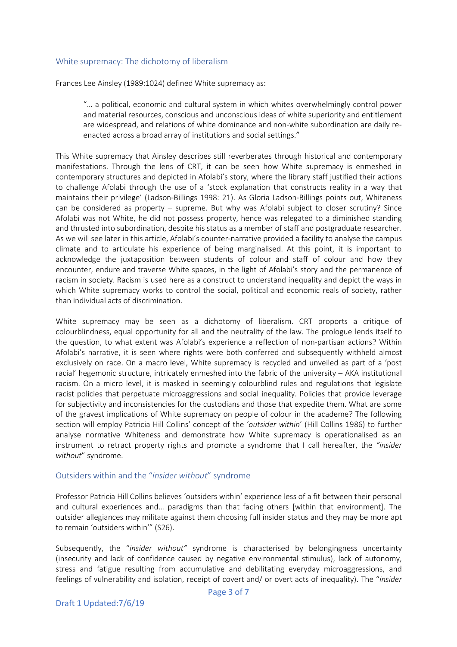#### White supremacy: The dichotomy of liberalism

Frances Lee Ainsley (1989:1024) defined White supremacy as:

"… a political, economic and cultural system in which whites overwhelmingly control power and material resources, conscious and unconscious ideas of white superiority and entitlement are widespread, and relations of white dominance and non-white subordination are daily reenacted across a broad array of institutions and social settings."

This White supremacy that Ainsley describes still reverberates through historical and contemporary manifestations. Through the lens of CRT, it can be seen how White supremacy is enmeshed in contemporary structures and depicted in Afolabi's story, where the library staff justified their actions to challenge Afolabi through the use of a 'stock explanation that constructs reality in a way that maintains their privilege' (Ladson-Billings 1998: 21). As Gloria Ladson-Billings points out, Whiteness can be considered as property – supreme. But why was Afolabi subject to closer scrutiny? Since Afolabi was not White, he did not possess property, hence was relegated to a diminished standing and thrusted into subordination, despite his status as a member of staff and postgraduate researcher. As we will see later in this article, Afolabi's counter-narrative provided a facility to analyse the campus climate and to articulate his experience of being marginalised. At this point, it is important to acknowledge the juxtaposition between students of colour and staff of colour and how they encounter, endure and traverse White spaces, in the light of Afolabi's story and the permanence of racism in society. Racism is used here as a construct to understand inequality and depict the ways in which White supremacy works to control the social, political and economic reals of society, rather than individual acts of discrimination.

White supremacy may be seen as a dichotomy of liberalism. CRT proports a critique of colourblindness, equal opportunity for all and the neutrality of the law. The prologue lends itself to the question, to what extent was Afolabi's experience a reflection of non-partisan actions? Within Afolabi's narrative, it is seen where rights were both conferred and subsequently withheld almost exclusively on race. On a macro level, White supremacy is recycled and unveiled as part of a 'post racial' hegemonic structure, intricately enmeshed into the fabric of the university – AKA institutional racism. On a micro level, it is masked in seemingly colourblind rules and regulations that legislate racist policies that perpetuate microaggressions and social inequality. Policies that provide leverage for subjectivity and inconsistencies for the custodians and those that expedite them. What are some of the gravest implications of White supremacy on people of colour in the academe? The following section will employ Patricia Hill Collins' concept of the '*outsider within*' (Hill Collins 1986) to further analyse normative Whiteness and demonstrate how White supremacy is operationalised as an instrument to retract property rights and promote a syndrome that I call hereafter, the *"insider without*" syndrome.

#### Outsiders within and the "*insider without*" syndrome

Professor Patricia Hill Collins believes 'outsiders within' experience less of a fit between their personal and cultural experiences and… paradigms than that facing others [within that environment]. The outsider allegiances may militate against them choosing full insider status and they may be more apt to remain 'outsiders within'" (S26).

Subsequently, the "*insider without"* syndrome is characterised by belongingness uncertainty (insecurity and lack of confidence caused by negative environmental stimulus), lack of autonomy, stress and fatigue resulting from accumulative and debilitating everyday microaggressions, and feelings of vulnerability and isolation, receipt of covert and/ or overt acts of inequality). The "*insider*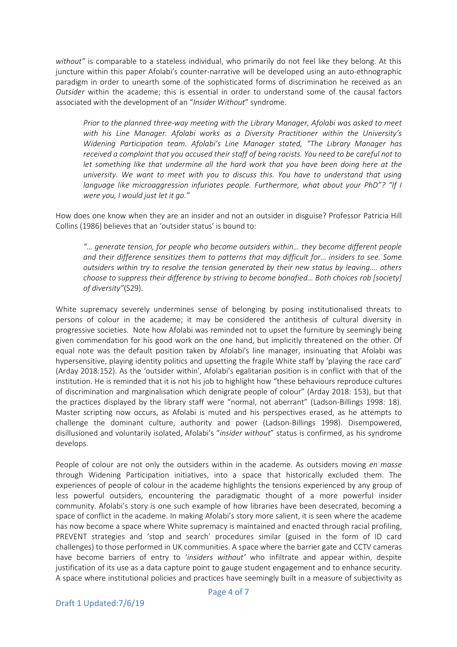*without"* is comparable to a stateless individual, who primarily do not feel like they belong. At this juncture within this paper Afolabi's counter-narrative will be developed using an auto-ethnographic paradigm in order to unearth some of the sophisticated forms of discrimination he received as an *Outsider* within the academe; this is essential in order to understand some of the causal factors associated with the development of an "*Insider Without*" syndrome.

*Prior to the planned three-way meeting with the Library Manager, Afolabi was asked to meet with his Line Manager. Afolabi works as a Diversity Practitioner within the University's Widening Participation team. Afolabi's Line Manager stated, "The Library Manager has received a complaint that you accused their staff of being racists. You need to be careful not to let something like that undermine all the hard work that you have been doing here at the university. We want to meet with you to discuss this. You have to understand that using language like microaggression infuriates people. Furthermore, what about your PhD"? "If I were you, I would just let it go."*

How does one know when they are an insider and not an outsider in disguise? Professor Patricia Hill Collins (1986) believes that an 'outsider status' is bound to:

*"… generate tension, for people who become outsiders within… they become different people and their difference sensitizes them to patterns that may difficult for… insiders to see. Some outsiders within try to resolve the tension generated by their new status by leaving.… others choose to suppress their difference by striving to become bonafied… Both choices rob [society] of diversity"*(S29).

White supremacy severely undermines sense of belonging by posing institutionalised threats to persons of colour in the academe; it may be considered the antithesis of cultural diversity in progressive societies. Note how Afolabi was reminded not to upset the furniture by seemingly being given commendation for his good work on the one hand, but implicitly threatened on the other. Of equal note was the default position taken by Afolabi's line manager, insinuating that Afolabi was hypersensitive, playing identity politics and upsetting the fragile White staff by 'playing the race card' (Arday 2018:152). As the 'outsider within', Afolabi's egalitarian position is in conflict with that of the institution. He is reminded that it is not his job to highlight how "these behaviours reproduce cultures of discrimination and marginalisation which denigrate people of colour" (Arday 2018: 153), but that the practices displayed by the library staff were "normal, not aberrant" (Ladson-Billings 1998: 18). Master scripting now occurs, as Afolabi is muted and his perspectives erased, as he attempts to challenge the dominant culture, authority and power (Ladson-Billings 1998). Disempowered, disillusioned and voluntarily isolated, Afolabi's "*insider without*" status is confirmed, as his syndrome develops.

People of colour are not only the outsiders within in the academe. As outsiders moving *en masse* through Widening Participation initiatives, into a space that historically excluded them. The experiences of people of colour in the academe highlights the tensions experienced by any group of less powerful outsiders, encountering the paradigmatic thought of a more powerful insider community. Afolabi's story is one such example of how libraries have been desecrated, becoming a space of conflict in the academe. In making Afolabi's story more salient, it is seen where the academe has now become a space where White supremacy is maintained and enacted through racial profiling, PREVENT strategies and 'stop and search' procedures similar (guised in the form of ID card challenges) to those performed in UK communities. A space where the barrier gate and CCTV cameras have become barriers of entry to '*insiders without'* who infiltrate and appear within, despite justification of its use as a data capture point to gauge student engagement and to enhance security. A space where institutional policies and practices have seemingly built in a measure of subjectivity as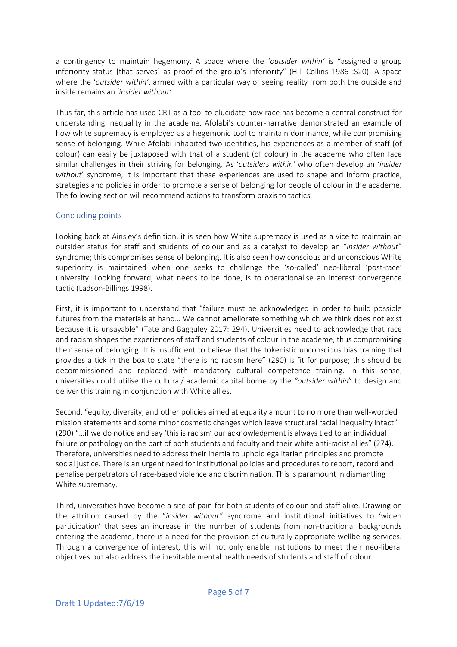a contingency to maintain hegemony. A space where the '*outsider within'* is "assigned a group inferiority status [that serves] as proof of the group's inferiority" (Hill Collins 1986 :S20). A space where the '*outsider within'*, armed with a particular way of seeing reality from both the outside and inside remains an '*insider without'*.

Thus far, this article has used CRT as a tool to elucidate how race has become a central construct for understanding inequality in the academe. Afolabi's counter-narrative demonstrated an example of how white supremacy is employed as a hegemonic tool to maintain dominance, while compromising sense of belonging. While Afolabi inhabited two identities, his experiences as a member of staff (of colour) can easily be juxtaposed with that of a student (of colour) in the academe who often face similar challenges in their striving for belonging. As '*outsiders within'* who often develop an '*insider without*' syndrome, it is important that these experiences are used to shape and inform practice, strategies and policies in order to promote a sense of belonging for people of colour in the academe. The following section will recommend actions to transform praxis to tactics.

### Concluding points

Looking back at Ainsley's definition, it is seen how White supremacy is used as a vice to maintain an outsider status for staff and students of colour and as a catalyst to develop an "*insider without*" syndrome; this compromises sense of belonging. It is also seen how conscious and unconscious White superiority is maintained when one seeks to challenge the 'so-called' neo-liberal 'post-race' university. Looking forward, what needs to be done, is to operationalise an interest convergence tactic (Ladson-Billings 1998).

First, it is important to understand that "failure must be acknowledged in order to build possible futures from the materials at hand… We cannot ameliorate something which we think does not exist because it is unsayable" (Tate and Bagguley 2017: 294). Universities need to acknowledge that race and racism shapes the experiences of staff and students of colour in the academe, thus compromising their sense of belonging. It is insufficient to believe that the tokenistic unconscious bias training that provides a tick in the box to state "there is no racism here" (290) is fit for purpose; this should be decommissioned and replaced with mandatory cultural competence training. In this sense, universities could utilise the cultural/ academic capital borne by the *"outsider within*" to design and deliver this training in conjunction with White allies.

Second, "equity, diversity, and other policies aimed at equality amount to no more than well-worded mission statements and some minor cosmetic changes which leave structural racial inequality intact" (290) "…if we do notice and say 'this is racism' our acknowledgment is always tied to an individual failure or pathology on the part of both students and faculty and their white anti-racist allies" (274). Therefore, universities need to address their inertia to uphold egalitarian principles and promote social justice. There is an urgent need for institutional policies and procedures to report, record and penalise perpetrators of race-based violence and discrimination. This is paramount in dismantling White supremacy.

Third, universities have become a site of pain for both students of colour and staff alike. Drawing on the attrition caused by the "*insider without"* syndrome and institutional initiatives to 'widen participation' that sees an increase in the number of students from non-traditional backgrounds entering the academe, there is a need for the provision of culturally appropriate wellbeing services. Through a convergence of interest, this will not only enable institutions to meet their neo-liberal objectives but also address the inevitable mental health needs of students and staff of colour.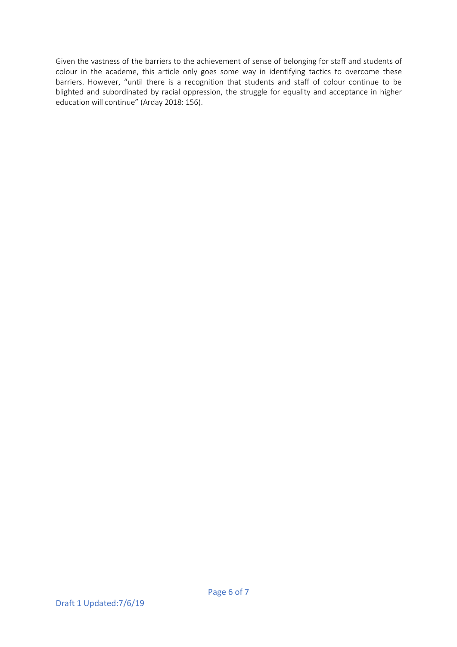Given the vastness of the barriers to the achievement of sense of belonging for staff and students of colour in the academe, this article only goes some way in identifying tactics to overcome these barriers. However, "until there is a recognition that students and staff of colour continue to be blighted and subordinated by racial oppression, the struggle for equality and acceptance in higher education will continue" (Arday 2018: 156).